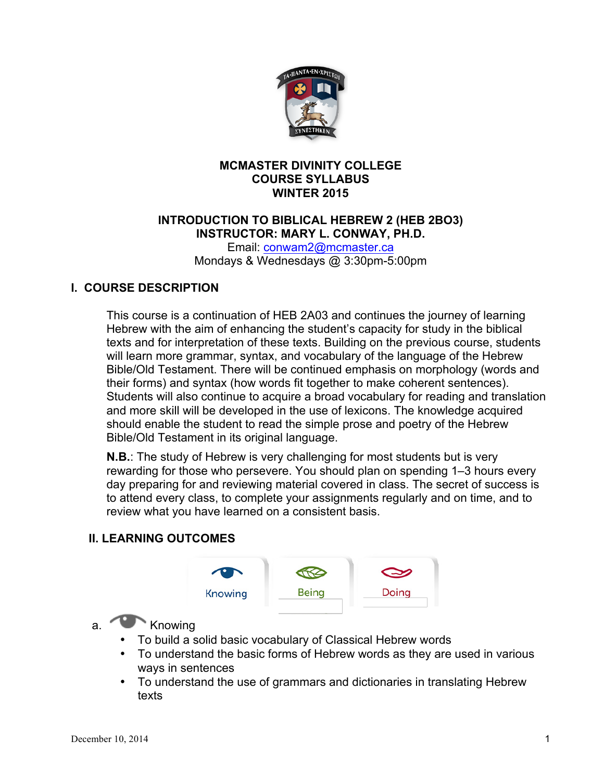

### **MCMASTER DIVINITY COLLEGE COURSE SYLLABUS WINTER 2015**

### **INTRODUCTION TO BIBLICAL HEBREW 2 (HEB 2BO3) INSTRUCTOR: MARY L. CONWAY, PH.D.**

Email: conwam2@mcmaster.ca Mondays & Wednesdays @ 3:30pm-5:00pm

## **I. COURSE DESCRIPTION**

This course is a continuation of HEB 2A03 and continues the journey of learning Hebrew with the aim of enhancing the student's capacity for study in the biblical texts and for interpretation of these texts. Building on the previous course, students will learn more grammar, syntax, and vocabulary of the language of the Hebrew Bible/Old Testament. There will be continued emphasis on morphology (words and their forms) and syntax (how words fit together to make coherent sentences). Students will also continue to acquire a broad vocabulary for reading and translation and more skill will be developed in the use of lexicons. The knowledge acquired should enable the student to read the simple prose and poetry of the Hebrew Bible/Old Testament in its original language.

**N.B.**: The study of Hebrew is very challenging for most students but is very rewarding for those who persevere. You should plan on spending 1–3 hours every day preparing for and reviewing material covered in class. The secret of success is to attend every class, to complete your assignments regularly and on time, and to review what you have learned on a consistent basis.

## **II. LEARNING OUTCOMES**



## a. Knowing

- To build a solid basic vocabulary of Classical Hebrew words
- To understand the basic forms of Hebrew words as they are used in various ways in sentences
- To understand the use of grammars and dictionaries in translating Hebrew texts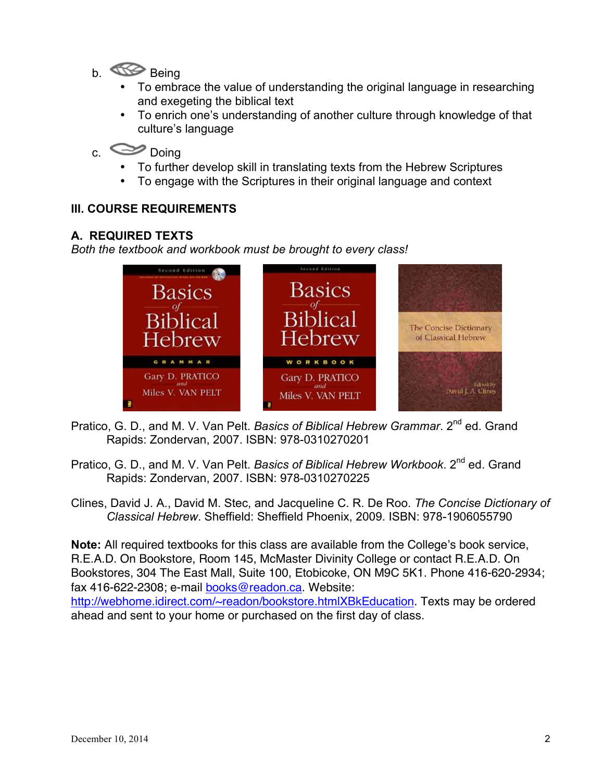- b. Being
	- To embrace the value of understanding the original language in researching and exegeting the biblical text
	- To enrich one's understanding of another culture through knowledge of that culture's language

# c. Doing

- To further develop skill in translating texts from the Hebrew Scriptures
- To engage with the Scriptures in their original language and context

## **III. COURSE REQUIREMENTS**

### **A. REQUIRED TEXTS**

*Both the textbook and workbook must be brought to every class!*



- Pratico, G. D., and M. V. Van Pelt. *Basics of Biblical Hebrew Grammar*. 2<sup>nd</sup> ed. Grand Rapids: Zondervan, 2007. ISBN: 978-0310270201
- Pratico, G. D., and M. V. Van Pelt. *Basics of Biblical Hebrew Workbook*. 2<sup>nd</sup> ed. Grand Rapids: Zondervan, 2007. ISBN: 978-0310270225
- Clines, David J. A., David M. Stec, and Jacqueline C. R. De Roo. *The Concise Dictionary of Classical Hebrew*. Sheffield: Sheffield Phoenix, 2009. ISBN: 978-1906055790

**Note:** All required textbooks for this class are available from the College's book service, R.E.A.D. On Bookstore, Room 145, McMaster Divinity College or contact R.E.A.D. On Bookstores, 304 The East Mall, Suite 100, Etobicoke, ON M9C 5K1. Phone 416-620-2934; fax 416-622-2308; e-mail books@readon.ca. Website:

http://webhome.idirect.com/~readon/bookstore.htmlXBkEducation. Texts may be ordered ahead and sent to your home or purchased on the first day of class.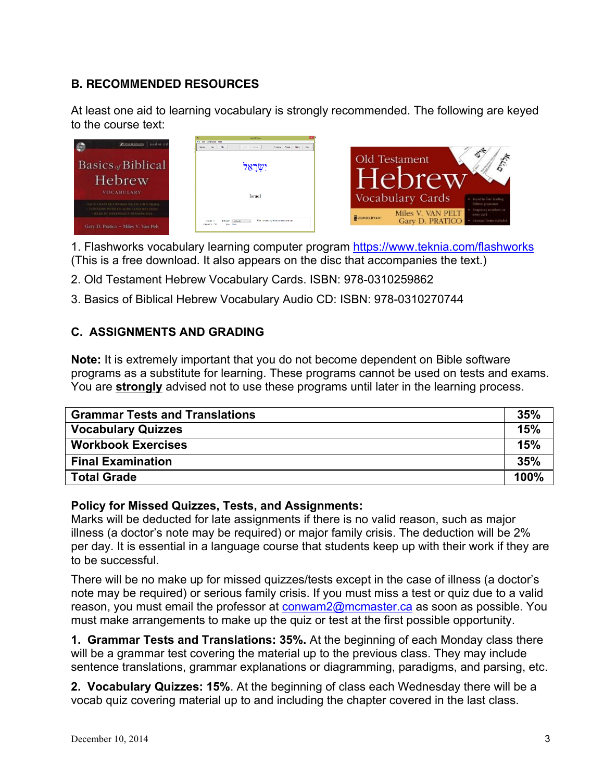## **B. RECOMMENDED RESOURCES**

At least one aid to learning vocabulary is strongly recommended. The following are keyed to the course text:



1. Flashworks vocabulary learning computer program https://www.teknia.com/flashworks (This is a free download. It also appears on the disc that accompanies the text.)

- 2. Old Testament Hebrew Vocabulary Cards. ISBN: 978-0310259862
- 3. Basics of Biblical Hebrew Vocabulary Audio CD: ISBN: 978-0310270744

## **C. ASSIGNMENTS AND GRADING**

**Note:** It is extremely important that you do not become dependent on Bible software programs as a substitute for learning. These programs cannot be used on tests and exams. You are **strongly** advised not to use these programs until later in the learning process.

| <b>Grammar Tests and Translations</b> | 35%  |
|---------------------------------------|------|
| <b>Vocabulary Quizzes</b>             | 15%  |
| <b>Workbook Exercises</b>             | 15%  |
| <b>Final Examination</b>              | 35%  |
| <b>Total Grade</b>                    | 100% |

### **Policy for Missed Quizzes, Tests, and Assignments:**

Marks will be deducted for late assignments if there is no valid reason, such as major illness (a doctor's note may be required) or major family crisis. The deduction will be 2% per day. It is essential in a language course that students keep up with their work if they are to be successful.

There will be no make up for missed quizzes/tests except in the case of illness (a doctor's note may be required) or serious family crisis. If you must miss a test or quiz due to a valid reason, you must email the professor at conwam2@mcmaster.ca as soon as possible. You must make arrangements to make up the quiz or test at the first possible opportunity.

**1. Grammar Tests and Translations: 35%.** At the beginning of each Monday class there will be a grammar test covering the material up to the previous class. They may include sentence translations, grammar explanations or diagramming, paradigms, and parsing, etc.

**2. Vocabulary Quizzes: 15%**. At the beginning of class each Wednesday there will be a vocab quiz covering material up to and including the chapter covered in the last class.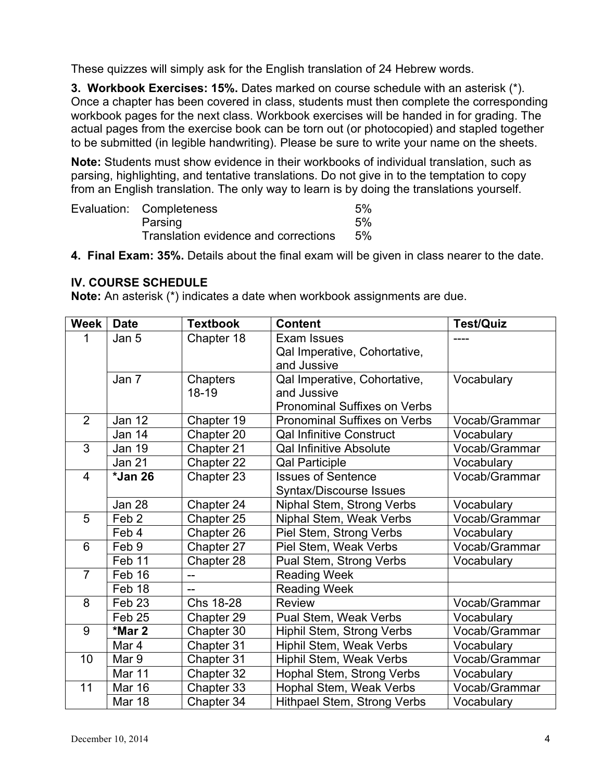These quizzes will simply ask for the English translation of 24 Hebrew words.

**3. Workbook Exercises: 15%.** Dates marked on course schedule with an asterisk (\*). Once a chapter has been covered in class, students must then complete the corresponding workbook pages for the next class. Workbook exercises will be handed in for grading. The actual pages from the exercise book can be torn out (or photocopied) and stapled together to be submitted (in legible handwriting). Please be sure to write your name on the sheets.

**Note:** Students must show evidence in their workbooks of individual translation, such as parsing, highlighting, and tentative translations. Do not give in to the temptation to copy from an English translation. The only way to learn is by doing the translations yourself.

| Evaluation: Completeness             | 5% |
|--------------------------------------|----|
| Parsing                              | 5% |
| Translation evidence and corrections | 5% |

**4. Final Exam: 35%.** Details about the final exam will be given in class nearer to the date.

### **IV. COURSE SCHEDULE**

**Note:** An asterisk (\*) indicates a date when workbook assignments are due.

| <b>Week</b>    | <b>Date</b>       | <b>Textbook</b> | <b>Content</b>                      | <b>Test/Quiz</b> |
|----------------|-------------------|-----------------|-------------------------------------|------------------|
| 1              | Jan 5             | Chapter 18      | Exam Issues                         | ----             |
|                |                   |                 | Qal Imperative, Cohortative,        |                  |
|                |                   |                 | and Jussive                         |                  |
|                | Jan 7             | Chapters        | Qal Imperative, Cohortative,        | Vocabulary       |
|                |                   | 18-19           | and Jussive                         |                  |
|                |                   |                 | Pronominal Suffixes on Verbs        |                  |
| $\overline{2}$ | <b>Jan 12</b>     | Chapter 19      | <b>Pronominal Suffixes on Verbs</b> | Vocab/Grammar    |
|                | Jan 14            | Chapter 20      | <b>Qal Infinitive Construct</b>     | Vocabulary       |
| 3              | Jan 19            | Chapter 21      | <b>Qal Infinitive Absolute</b>      | Vocab/Grammar    |
|                | Jan 21            | Chapter 22      | <b>Qal Participle</b>               | Vocabulary       |
| $\overline{4}$ | *Jan 26           | Chapter 23      | <b>Issues of Sentence</b>           | Vocab/Grammar    |
|                |                   |                 | <b>Syntax/Discourse Issues</b>      |                  |
|                | <b>Jan 28</b>     | Chapter 24      | Niphal Stem, Strong Verbs           | Vocabulary       |
| 5              | Feb <sub>2</sub>  | Chapter 25      | Niphal Stem, Weak Verbs             | Vocab/Grammar    |
|                | Feb 4             | Chapter 26      | Piel Stem, Strong Verbs             | Vocabulary       |
| 6              | Feb 9             | Chapter 27      | Piel Stem, Weak Verbs               | Vocab/Grammar    |
|                | Feb 11            | Chapter 28      | Pual Stem, Strong Verbs             | Vocabulary       |
| $\overline{7}$ | Feb 16            | $-$             | <b>Reading Week</b>                 |                  |
|                | Feb 18            |                 | <b>Reading Week</b>                 |                  |
| 8              | Feb <sub>23</sub> | Chs 18-28       | <b>Review</b>                       | Vocab/Grammar    |
|                | Feb <sub>25</sub> | Chapter 29      | Pual Stem, Weak Verbs               | Vocabulary       |
| 9              | *Mar 2            | Chapter 30      | Hiphil Stem, Strong Verbs           | Vocab/Grammar    |
|                | Mar 4             | Chapter 31      | Hiphil Stem, Weak Verbs             | Vocabulary       |
| 10             | Mar 9             | Chapter 31      | Hiphil Stem, Weak Verbs             | Vocab/Grammar    |
|                | Mar 11            | Chapter 32      | Hophal Stem, Strong Verbs           | Vocabulary       |
| 11             | <b>Mar 16</b>     | Chapter 33      | Hophal Stem, Weak Verbs             | Vocab/Grammar    |
|                | <b>Mar 18</b>     | Chapter 34      | <b>Hithpael Stem, Strong Verbs</b>  | Vocabulary       |